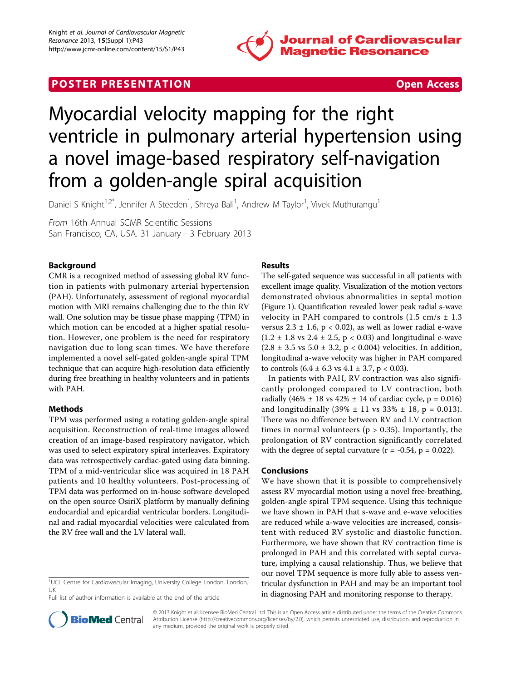

# **POSTER PRESENTATION CONSUMING THE SECOND CONSUMING THE SECOND CONSUMING THE SECOND CONSUMING THE SECOND CONSUMING THE SECOND CONSUMING THE SECOND CONSUMING THE SECOND CONSUMING THE SECOND CONSUMING THE SECOND CONSUMING**



# Myocardial velocity mapping for the right ventricle in pulmonary arterial hypertension using a novel image-based respiratory self-navigation from a golden-angle spiral acquisition

Daniel S Knight<sup>1,2\*</sup>, Jennifer A Steeden<sup>1</sup>, Shreya Bali<sup>1</sup>, Andrew M Taylor<sup>1</sup>, Vivek Muthurangu<sup>1</sup>

From 16th Annual SCMR Scientific Sessions San Francisco, CA, USA. 31 January - 3 February 2013

## Background

CMR is a recognized method of assessing global RV function in patients with pulmonary arterial hypertension (PAH). Unfortunately, assessment of regional myocardial motion with MRI remains challenging due to the thin RV wall. One solution may be tissue phase mapping (TPM) in which motion can be encoded at a higher spatial resolution. However, one problem is the need for respiratory navigation due to long scan times. We have therefore implemented a novel self-gated golden-angle spiral TPM technique that can acquire high-resolution data efficiently during free breathing in healthy volunteers and in patients with PAH.

### Methods

TPM was performed using a rotating golden-angle spiral acquisition. Reconstruction of real-time images allowed creation of an image-based respiratory navigator, which was used to select expiratory spiral interleaves. Expiratory data was retrospectively cardiac-gated using data binning. TPM of a mid-ventricular slice was acquired in 18 PAH patients and 10 healthy volunteers. Post-processing of TPM data was performed on in-house software developed on the open source OsiriX platform by manually defining endocardial and epicardial ventricular borders. Longitudinal and radial myocardial velocities were calculated from the RV free wall and the LV lateral wall.



The self-gated sequence was successful in all patients with excellent image quality. Visualization of the motion vectors demonstrated obvious abnormalities in septal motion (Figure [1\)](#page-1-0). Quantification revealed lower peak radial s-wave velocity in PAH compared to controls  $(1.5 \text{ cm/s} \pm 1.3)$ versus  $2.3 \pm 1.6$ , p < 0.02), as well as lower radial e-wave  $(1.2 \pm 1.8 \text{ vs } 2.4 \pm 2.5, \text{ p} < 0.03)$  and longitudinal e-wave  $(2.8 \pm 3.5 \text{ vs } 5.0 \pm 3.2, p < 0.004)$  velocities. In addition, longitudinal a-wave velocity was higher in PAH compared to controls  $(6.4 \pm 6.3 \text{ vs } 4.1 \pm 3.7, \text{ p} < 0.03)$ .

In patients with PAH, RV contraction was also significantly prolonged compared to LV contraction, both radially (46%  $\pm$  18 vs 42%  $\pm$  14 of cardiac cycle, p = 0.016) and longitudinally  $(39\% \pm 11 \text{ vs } 33\% \pm 18, p = 0.013)$ . There was no difference between RV and LV contraction times in normal volunteers ( $p > 0.35$ ). Importantly, the prolongation of RV contraction significantly correlated with the degree of septal curvature  $(r = -0.54, p = 0.022)$ .

#### Conclusions

We have shown that it is possible to comprehensively assess RV myocardial motion using a novel free-breathing, golden-angle spiral TPM sequence. Using this technique we have shown in PAH that s-wave and e-wave velocities are reduced while a-wave velocities are increased, consistent with reduced RV systolic and diastolic function. Furthermore, we have shown that RV contraction time is prolonged in PAH and this correlated with septal curvature, implying a causal relationship. Thus, we believe that our novel TPM sequence is more fully able to assess ventricular dysfunction in PAH and may be an important tool in diagnosing PAH and monitoring response to therapy.



© 2013 Knight et al; licensee BioMed Central Ltd. This is an Open Access article distributed under the terms of the Creative Commons Attribution License [\(http://creativecommons.org/licenses/by/2.0](http://creativecommons.org/licenses/by/2.0)), which permits unrestricted use, distribution, and reproduction in any medium, provided the original work is properly cited.

<sup>&</sup>lt;sup>1</sup>UCL Centre for Cardiovascular Imaging, University College London, London, UK

Full list of author information is available at the end of the article